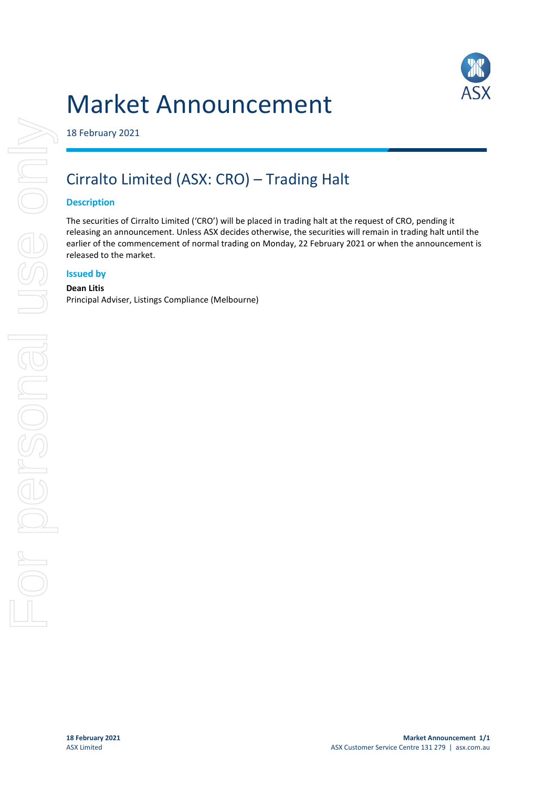



18 February 2021

# Cirralto Limited (ASX: CRO) – Trading Halt

### **Description**

The securities of Cirralto Limited ('CRO') will be placed in trading halt at the request of CRO, pending it releasing an announcement. Unless ASX decides otherwise, the securities will remain in trading halt until the earlier of the commencement of normal trading on Monday, 22 February 2021 or when the announcement is released to the market.

### **Issued by**

#### **Dean Litis**

Principal Adviser, Listings Compliance (Melbourne)